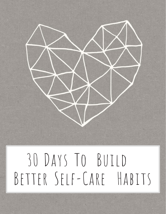

# 30 Days To Build Better Self-Care Habits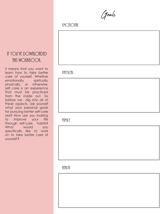Goals

#### **EMOTIONAL**

#### If YOU'VE DOWNLOADED this workbook.

it means that you want to learn how to take better care of yourself. Whether emotionally, spiritually, physically, or otherwise, self care is an experience that must be practiced from the inside out. So before we dig into all of these aspects, ask yourself what your personal goals for pursuing better self-care are? How are you looking to improve your life through self-care habits? What would you specifically like to work on to take better care of yourself?

#### **PHYSICAL**

ffimily

**HEALTH**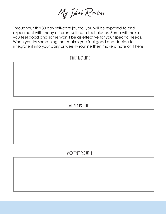My Ideal Routine

Throughout this 30 day self-care journal you will be exposed to and experiment with many different self care techniques. Some will make you feel good and some won't be as effective for your specific needs. When you try something that makes you feel good and decide to integrate it into your daily or weekly routine then make a note of it here.

DAILY ROUTINE

#### WEEKLY ROUTINE

MONTHLY ROUTINE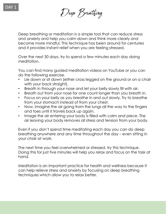Deep Breathing

Deep breathing or meditation is a simple tool that can reduce stress and anxiety and help you calm down and think more clearly and become more mindful. This technique has been around for centuries and it provides instant relief when you are feeling stressed.

Over the next 30 days, try to spend a few minutes each day doing meditation.

You can find many guided meditation videos on YouTube or you can do the following exercise.

- Lie down or sit down (either cross legged on the ground or on a chair with your back straight).
- Breath in through your nose and let your belly slowly fill with air.
- Breath out from your nose for one count longer than you breath in.
- Focus on your belly as you breathe in and out slowly. Try to breathe from your stomach instead of from your chest.
- Now, imagine the air going from the lungs all the way to the fingers and toes until it travels back up again.
- Image the air entering your body is filled with calm and piece. The air leaving your body removes all stress and tension from your body.

Even if you don't spend time meditating each day you can do deep breathing anywhere and any time throughout the day – even sitting in your chair at work.

The next time you feel overwhelmed or stressed, try this technique. Doing this for just five minutes will help you relax and focus on the task at hand.

Meditation is an important practice for health and wellness because it can help relieve stress and anxiety by focusing on deep breathing techniques which allow you to relax better.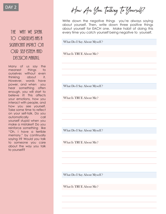

#### THE WAY WE SDFAK TO OURSELVES HAS A significant impact On OUR SFIF-FSTFFM AND DECISION MAKING.

Many of us say the meanest things to ourselves without even thinking about it. However, words have power, and when you hear something often enough, you will start to believe it! This affects your emotions, how you interact with people, and how you see yourself. Take some time to reflect on your self-talk. Do you automatically call yourself stupid when you make a mistake? Do you reinforce something like "Oh, I have a terrible memory." by continually saying it? Would you talk to someone you care about the way you talk to yourself?

How Are You Talking To Yourself?

Write down the negative things you're always saying about yourself. Then, write down three positive things about yourself for EACH one. Make habit of doing this every time you catch yourself being negative to yourself.

What Do I Say About Myself ?

What Is TRUE About Me?

What Do I Say About Myself ?

What Is TRUE About Me?

What Do I Say About Myself ?

What Is TRUE About Me?

What Do I Say About Myself ?

What Is TRUE About Me?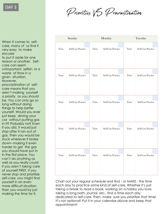Priorities VS Procrastination

When it comes to selfcare, many of us find it very easy to make excuses to put it aside for one reason or another. Selfcare can seem unimportant, selfish, or a waste of time in a given situation. However, procrastination of selfcare means that you aren't making yourself a priority as you should be. You can only go so long without doing things to help better yourself. Would you ever just keep driving your car without putting gas in it? Probably not! Even if you did, it would just stop after it ran out of gas. Then you would be stuck wherever it broke down--making it even harder to get the gas you should have put in in the first place. You can't do anything as well as you really could if you aren't taking care of yourself FIRST. If you never stop and prioritize self-care, you might find yourself in an even more difficult situation than you would by just making the time for it.

|      | Sunday             |      | Monday             |      | Tuesday                   |  |  |
|------|--------------------|------|--------------------|------|---------------------------|--|--|
|      |                    |      |                    |      |                           |  |  |
| Time | Self-Care Practice | Time | Self-Care Practice | Time | Self-Care Practice        |  |  |
|      |                    |      |                    |      |                           |  |  |
| Time | Self-Care Practice | Time | Self-Care Practice | Time | Self-Care Practice        |  |  |
|      |                    |      |                    |      |                           |  |  |
| Time | Self-Care Practice | Time | Self-Care Practice | Time | Self-Care Practice        |  |  |
|      |                    |      |                    |      |                           |  |  |
| Time | Self-Care Practice | Time | Self-Care Practice | Time | <b>Self-Care Practice</b> |  |  |
|      |                    |      |                    |      |                           |  |  |
| Time | Self-Care Practice | Time | Self-Care Practice | Time | Self-Care Practice        |  |  |

Chart out your regular schedule and find - or MAKE - the time each day to practice some kind of self-care. Whether it's just taking a break to read a book, working on a hobby you love, taking a long bath, journal, etc., find a time each day dedicated to self-care. Then, make sure you prioritize that time! It's not optional! Put it in your calendar above and keep that appointment!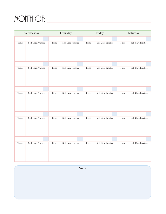# MONTH OF:

| Wednesday |                    | Thursday |                    |      | Friday             |      | Saturday           |  |  |
|-----------|--------------------|----------|--------------------|------|--------------------|------|--------------------|--|--|
|           |                    |          |                    |      |                    |      |                    |  |  |
| Time      | Self-Care Practice | Time     | Self-Care Practice | Time | Self-Care Practice | Time | Self-Care Practice |  |  |
|           |                    |          |                    |      |                    |      |                    |  |  |
| Time      | Self-Care Practice | Time     | Self-Care Practice | Time | Self-Care Practice | Time | Self-Care Practice |  |  |
|           |                    |          |                    |      |                    |      |                    |  |  |
| Time      | Self-Care Practice | Time     | Self-Care Practice | Time | Self-Care Practice | Time | Self-Care Practice |  |  |
|           |                    |          |                    |      |                    |      |                    |  |  |
| Time      | Self-Care Practice | Time     | Self-Care Practice | Time | Self-Care Practice | Time | Self-Care Practice |  |  |
|           |                    |          |                    |      |                    |      |                    |  |  |
| Time      | Self-Care Practice | Time     | Self-Care Practice | Time | Self-Care Practice | Time | Self-Care Practice |  |  |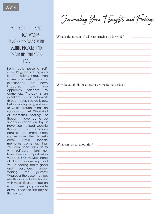$\overline{f}$  is  $\overline{f}$  you start to work  $THROI/GH SOMF$  of the  $M$ FNTfil BL $\bigcirc$ CKS find THOUGHTS THAT STOP you

from really pursuing selfcare, it's going to bring up a lot of emotions. It may even cause any past trauma or experiences that have impacted how you approach self-care to come up. Therapy is an excellent idea to help work through deep-seated issues, but journaling is a great way to work through things on your own as well. What kind of memories, feelings, or thoughts have come up since you started on Day 1? Have you noticed specific thoughts or emotions coming up more since you've committed to selfcare? Have specific memories come up that you can trace back as to why self-care might not have been as important in your past? Or maybe none of this is happening, and you're feeling really good and balanced about starting this journey! Whatever the case may be, use this space to be honest with yourself, and reflect on what's been going on inside of you since the first day of this journal.

Journaling Your Thoughts and Feelings

What is the pursuit of self-care bringing up for you?"

Why do you think the above has come to the surface?

What can you do about this?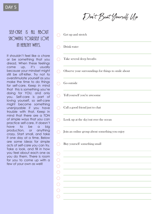

#### SELF-CARE IS ALL ABOUT showing yourself love in healthy ways.

It shouldn't feel like a chore or be something that you dread. When these feelings come up, it's usually because your mindset might still be off-kilter. Try not to overstimulate yourself as you make the time to do things for self-care. Keep in mind that this is something you're doing for YOU, and only you. Self-care is part of loving yourself, so self-care might become something unenjoyable if you have trouble with that. Keep in mind that there are a TON of simple ways that you can practice self-care. It doesn't have to be a big production, or anything crazy. Start small, and take it one day at a time. Below are some ideas for simple acts of self-care you can try. Take a look, and fill in how you feel about each one as you do them. There is room for you to come up with a few of your own as well!

| Don't Beat Yourself Up |
|------------------------|
|------------------------|

- Get up and stretch
- Drink water
- Take several deep breaths  $\bigcap$
- Observe your surroundings for things to smile about
- Go outside
- Tell yourself you're awesome
- Call a good friend just to chat  $\bigcap$
- Look up at the sky/out over the ocean
- Join an online group about something you enjoy
- Buy yourself something small

| - 1 |        |
|-----|--------|
|     |        |
| - 1 | $\sim$ |
|     |        |
| ÷.  |        |
|     |        |
|     |        |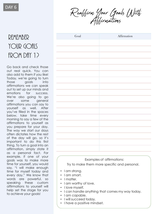Reaffirm Your Goals With Affirmations

## REMEMBER YOUR GOALS from DAY 12

Go back and check those out real quick. You can also add to them if you like! Today, we're going to turn those goals into affirmations we can speak out to set up our minds and emotions for success. We're also going to go over some general affirmations you can say to yourself as well. After you've filled in the spaces below, take time every morning to say a few of the affirmations to yourself as you prepare for your day. The way we start our days often dictates how the rest of the day will go, so it's important to do this first thing. To turn a goal into an affirmation, simply state it as a personal fact. For example, if one of your goals was to make more time for yourself, you would say, "I will make enough time for myself today and every day." We know that words are powerful, so speaking these custom affirmations to yourself will help set the stage for you to achieve your goals!

| Goal | Affirmation |
|------|-------------|
|      |             |
|      |             |
|      |             |
|      |             |
|      |             |
|      |             |
|      |             |
|      |             |
|      |             |
|      |             |
|      |             |
|      |             |
|      |             |
|      |             |
|      |             |
|      |             |
|      |             |
|      |             |
|      |             |

Examples of affirmations: Try to make them more specific and personal.

- I am strong.
- I am smart.
- I matter.
- I am worthy of love.
- I love myself.
- I can handle anything that comes my way today.
- I am capable.
- I will succeed today.
- I have a positive mindset.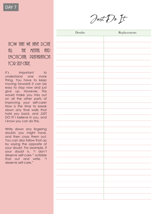Just Do It

now that we have done fill the mental and EMOTIONAL PREPARATION for self-care,

it's important to understand one more thing. You have to keep moving forward! It can be easy to stop now and just give up. However, this would make you miss out on all the other parts of improving your self-care! Now is the time to break down any final walls that hold you back, and JUST DO IT! I believe in you, and I know you can do this.

Write down any lingering doubts you might have, and then cross them out. You can also follow that up by saying the opposite of your doubt. For example, if your doubt is, "I don't deserve self-care." scribble that out and write, "I deserve self-care."

| ${\bf Replacements}$ |
|----------------------|
|                      |
|                      |
|                      |
|                      |
|                      |
|                      |
|                      |
|                      |
|                      |
|                      |
|                      |
|                      |
|                      |
|                      |
|                      |
|                      |
|                      |
|                      |
|                      |
|                      |
|                      |
|                      |
|                      |
|                      |
|                      |
|                      |
|                      |
|                      |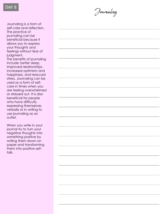

Journaling is a form of self -care and reflection. The practice of journaling can be beneficial because it allows you to express your thoughts and feelings without fear of judgment.

The benefits of journaling include: better sleep, improved relationships, increased optimism and happiness, and reduced stress. Journaling can be used as a form of self care in times when you are feeling overwhelmed or stressed out. It is also beneficial for people who have difficulty expressing themselves verbally or in writing to use journaling as an outlet.

When you write in your journal try to turn your negative thoughts into something positive by writing them down on paper and transforming them into positive self talk.

DAY 8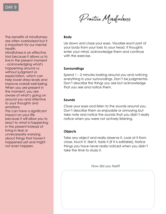The benefits of mindfulness are often overlooked but it is important for our mental health.

Mindfulness is an effective tool because it allows us to live in the present moment - acknowledging what's happening around us without judgment or expectation, which can help lower stress levels and improve overall well-being. When you are present in the moment, you are aware of what's going on around you and attentive to your thoughts and emotions.

This can have a significant impact on your life because it will allow you to react to what is happening in the present instead of living in fear or unnecessarily worrying about things that haven't happened yet and might not even happen.

Practice Mindfulness

#### **Body**

Lie down and close your eyes. Visualize each part of your body from your toes to your head. If thoughts enter your mind, acknowledge them and continue with the exercise.

#### **Surroundings**

Spend 1 – 2 minutes looking around you and noticing everything in your surroundings. Don't be judgmental. Don't describe the things you see but acknowledge that you see and notice them.

#### **Sounds**

Close your eyes and listen to the sounds around you. Don't describe them as enjoyable or annoying but take note and notice the sounds that you didn't really notice when you were not actively listening.

#### **Objects**

Take any object and really observe it. Look at it from close, touch it, feel it, taste it (if it is editable). Notice things you have never really noticed when you didn't take the time to study it.

How did you feel?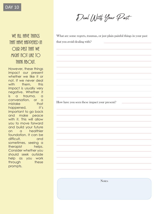# Deal With Your Past

What are some regrets, traumas, or just plain painful things in your past that you avoid dealing with?

How have you seen these impact your present?

WF fill HAVF THINGS THAT HAVE HADDENED IN OUR PAST THAT WE might not like to THINK fibout.

However, these things impact our present whether we like it or not. If we never deal with them, this impact is usually very negative. Whether it is a trauma, a conversation, or a mistake that happened, it's important to go back and make peace with it. This will allow you to move forward and build your future on a healthier foundation. It can be difficult, and sometimes, seeing a therapist helps. Consider whether you should seek outside help as you work through these prompts.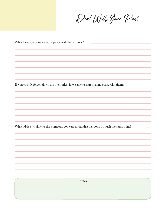Deal With Your Past

| What have you done to make peace with these things?                                     |  |  |  |  |  |
|-----------------------------------------------------------------------------------------|--|--|--|--|--|
|                                                                                         |  |  |  |  |  |
|                                                                                         |  |  |  |  |  |
|                                                                                         |  |  |  |  |  |
|                                                                                         |  |  |  |  |  |
|                                                                                         |  |  |  |  |  |
|                                                                                         |  |  |  |  |  |
| If you've only forced down the memories, how can you start making peace with them?      |  |  |  |  |  |
|                                                                                         |  |  |  |  |  |
|                                                                                         |  |  |  |  |  |
|                                                                                         |  |  |  |  |  |
|                                                                                         |  |  |  |  |  |
|                                                                                         |  |  |  |  |  |
| What advice would you give someone you care about that has gone through the same thing? |  |  |  |  |  |
|                                                                                         |  |  |  |  |  |
|                                                                                         |  |  |  |  |  |
|                                                                                         |  |  |  |  |  |
|                                                                                         |  |  |  |  |  |
|                                                                                         |  |  |  |  |  |
|                                                                                         |  |  |  |  |  |
|                                                                                         |  |  |  |  |  |
|                                                                                         |  |  |  |  |  |
| <b>Notes</b>                                                                            |  |  |  |  |  |
|                                                                                         |  |  |  |  |  |
|                                                                                         |  |  |  |  |  |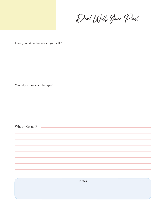Deal With Your Past

| Have you taken that advice yourself?<br><u> 1989 - Johann Stein, markinsk politik (</u>                                                                                                                                                                                                                                                                                                                                                                      |  |  |  |  |
|--------------------------------------------------------------------------------------------------------------------------------------------------------------------------------------------------------------------------------------------------------------------------------------------------------------------------------------------------------------------------------------------------------------------------------------------------------------|--|--|--|--|
|                                                                                                                                                                                                                                                                                                                                                                                                                                                              |  |  |  |  |
|                                                                                                                                                                                                                                                                                                                                                                                                                                                              |  |  |  |  |
|                                                                                                                                                                                                                                                                                                                                                                                                                                                              |  |  |  |  |
|                                                                                                                                                                                                                                                                                                                                                                                                                                                              |  |  |  |  |
| Would you consider therapy?                                                                                                                                                                                                                                                                                                                                                                                                                                  |  |  |  |  |
|                                                                                                                                                                                                                                                                                                                                                                                                                                                              |  |  |  |  |
|                                                                                                                                                                                                                                                                                                                                                                                                                                                              |  |  |  |  |
|                                                                                                                                                                                                                                                                                                                                                                                                                                                              |  |  |  |  |
|                                                                                                                                                                                                                                                                                                                                                                                                                                                              |  |  |  |  |
|                                                                                                                                                                                                                                                                                                                                                                                                                                                              |  |  |  |  |
| $\label{eq:2} \begin{split} \frac{1}{\sqrt{2\pi}}\left(\frac{1}{\sqrt{2\pi}}\right)^{1/2}\left(\frac{1}{\sqrt{2\pi}}\right)^{1/2}\left(\frac{1}{\sqrt{2\pi}}\right)^{1/2}\left(\frac{1}{\sqrt{2\pi}}\right)^{1/2}\left(\frac{1}{\sqrt{2\pi}}\right)^{1/2}\left(\frac{1}{\sqrt{2\pi}}\right)^{1/2}\left(\frac{1}{\sqrt{2\pi}}\right)^{1/2}\left(\frac{1}{\sqrt{2\pi}}\right)^{1/2}\left(\frac{1}{\sqrt{2\pi}}\right)^{1/2}\left(\frac{1}{$<br>Why or why not? |  |  |  |  |
|                                                                                                                                                                                                                                                                                                                                                                                                                                                              |  |  |  |  |
|                                                                                                                                                                                                                                                                                                                                                                                                                                                              |  |  |  |  |
|                                                                                                                                                                                                                                                                                                                                                                                                                                                              |  |  |  |  |
|                                                                                                                                                                                                                                                                                                                                                                                                                                                              |  |  |  |  |
|                                                                                                                                                                                                                                                                                                                                                                                                                                                              |  |  |  |  |
|                                                                                                                                                                                                                                                                                                                                                                                                                                                              |  |  |  |  |
| <b>Notes</b>                                                                                                                                                                                                                                                                                                                                                                                                                                                 |  |  |  |  |
|                                                                                                                                                                                                                                                                                                                                                                                                                                                              |  |  |  |  |
|                                                                                                                                                                                                                                                                                                                                                                                                                                                              |  |  |  |  |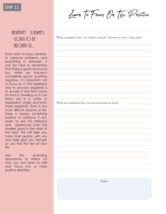Negativity Is always

going to be

firQund us...

From news to lousy weather, to personal problems, and everything in between, it can be hard to remember that there is good all around too. While we shouldn't completely ignore anything negative, it's important not to focus on it. The healthiest way to process negativity is to accept it and then move on from it. Dwelling on it can throw you in a vortex of depression, anger, and even more negativity. Even in the most difficult seasons of life, there is always something positive to balance it out. Learn to see this balance and appreciate even the smallest good in the midst of the bad. This will help you carry inner peace with you and help give you strength as you live the rest of your

Learn To Focus On The Positive

What negativity have you found yourself focused on for a long time?

What new negativity have you been focused on lately?

Use this journaling opportunity to reflect on how you can learn to shift your focus into a more positive direction.

life.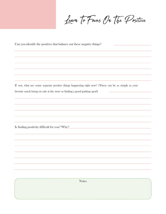Learn To Focus On The Positive

Can you identify the positives that balance out these negative things?

If not, what are some separate positive things happening right now? (These can be as simple as your favorite snack being on sale at the store or finding a good parking spot!) i.

Is finding positivity difficult for you? Why?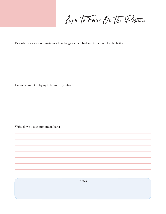Learn To Focus On The Positive

Describe one or more situations when things seemed bad and turned out for the better.

**Notes** Do you commit to trying to be more positive? Write down that commitment here: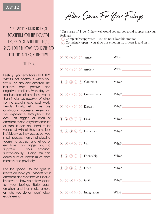#### YESTERDAY'S PRACTICE OF focusing on the positive DOFS NOT MFAN THAT YOU shouldn't allow yourself to  $fffI$  any kind  $\bigcirc f$  negative

ffelings.

Feeling your emotions is HEALTHY. What's not healthy is when you focus on any one emotion. This includes both positive and negative emotions. Every day, we feel hundreds of emotions over all the stimulus we receive. Whether from a social media post, work, friends, family, etc., we are continually processing everything we experience throughout the day. This triggers all kinds of emotions over a very short amount of time. It can be hard to let yourself sit with all these emotions individually as they occur, but you must process them. Not allowing yourself to accept and let go of emotions can trigger you to suppress your emotions subconsciously. Doing this can cause a lot of health issues-both mentally and physically.

Use the space to the right to reflect on how you process your emotions and whether you should improve on how you allow space for your feelings. Rate each emotion, and then make a note on why you do or don't allow each feeling.

Allow Space For Your Feelings

"On a scale of  $1$  to  $5$ , how well would you say you avoid suppressing your feelings?

- $\Omega$  Completely suppressed you do not allow this emotion;
- $\overline{\mathfrak{s}}$ ) Completely open you allow this emotion in, process it, and let it go."

|                   |                   |                  |                  |                  | 1 2 3 4 5 Anger                                               |                                                                                                                      |
|-------------------|-------------------|------------------|------------------|------------------|---------------------------------------------------------------|----------------------------------------------------------------------------------------------------------------------|
|                   |                   |                  |                  |                  | 1 2 3 4 5 Anxiety                                             |                                                                                                                      |
|                   |                   |                  |                  |                  | 1 2 3 4 5 Contempt                                            |                                                                                                                      |
|                   |                   |                  |                  |                  | $\begin{pmatrix} 1 & 2 & 3 & 4 & 5 \end{pmatrix}$ Contentment |                                                                                                                      |
|                   |                   |                  |                  |                  | 1 2 3 4 5 Disgust                                             |                                                                                                                      |
|                   |                   |                  |                  |                  | 1 2 3 4 5 Envy                                                | <u> 1989 - Johann Barn, mars eta bat erroman erroman erroman erroman erroman erroman erroman erroman erroman err</u> |
|                   |                   |                  |                  |                  | 1 2 3 4 5 Excitement                                          |                                                                                                                      |
|                   |                   |                  |                  |                  | 1 2 3 4 5 Fear                                                |                                                                                                                      |
|                   |                   |                  |                  |                  | 1 2 3 4 5 Friendship                                          |                                                                                                                      |
|                   |                   |                  |                  |                  | 1 2 3 4 5 Grief                                               |                                                                                                                      |
| $\left( 1\right)$ | $\left( 2\right)$ | $\left(3\right)$ | $\left(4\right)$ | $\left(5\right)$ | Guilt                                                         | $Why$ 2                                                                                                              |
| $\left( 1\right)$ | (2)               |                  |                  |                  | $(3)$ $(4)$ $(5)$ Indignation                                 |                                                                                                                      |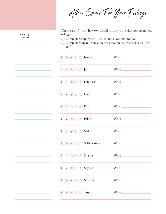Allow Space For Your Feelings

"On a scale of 1 to 5, how well would you say you avoid suppressing your feelings?

<sup>1</sup>Completely suppressed – you do not allow this emotion;

 $NOTS$ 

<sup>5</sup> Completely open – you allow this emotion in, process it, and let it go."

| $\begin{array}{ccc} \textcircled{1} & \textcircled{2} & \textcircled{3} & \textcircled{4} & \textcircled{5} \end{array}$ Interest |                                                                                                                         |                                                                                                                                                   |
|-----------------------------------------------------------------------------------------------------------------------------------|-------------------------------------------------------------------------------------------------------------------------|---------------------------------------------------------------------------------------------------------------------------------------------------|
| $(1)$ $(2)$ $(3)$ $(4)$ $(5)$ Joy                                                                                                 |                                                                                                                         |                                                                                                                                                   |
| 1 2 3 4 5 Kindness                                                                                                                |                                                                                                                         | $Why$ $\sim$                                                                                                                                      |
| $(1)$ $(2)$ $(3)$ $(4)$ $(5)$ Love                                                                                                |                                                                                                                         |                                                                                                                                                   |
| $(1)$ $(2)$ $(3)$ $(4)$ $(5)$ Pity                                                                                                |                                                                                                                         |                                                                                                                                                   |
| 1 2 3 4 5 Pride                                                                                                                   |                                                                                                                         |                                                                                                                                                   |
| 1 2 3 4 5 Sadness                                                                                                                 |                                                                                                                         |                                                                                                                                                   |
|                                                                                                                                   | $\begin{array}{ccc} \text{(1)} & \text{(2)} & \text{(3)} & \text{(4)} & \text{(5)} & \text{Self-Hostility} \end{array}$ |                                                                                                                                                   |
| 1 2 3 4 5 Shame                                                                                                                   |                                                                                                                         |                                                                                                                                                   |
| 1 2 3 4 5 Shyness                                                                                                                 |                                                                                                                         |                                                                                                                                                   |
| 1 2 3 4 5 Surprise                                                                                                                |                                                                                                                         |                                                                                                                                                   |
| $(1)$ $(2)$ $(3)$ $(4)$ $(5)$ Trust                                                                                               |                                                                                                                         | $Why$ and $Wpy$ and $Wpy$ and $Wpy$ and $Wpy$ and $Wpy$ and $Wpy$ and $Wpy$ and $Wpy$ and $Wpy$ and $Wpy$ and $Wpy$ and $Wpy$ and $Wpy$ and $Wpy$ |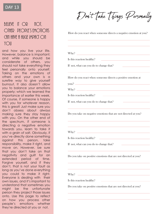#### **DAY 13**

#### BELIEVE IT OR NOT. other people's emotions  $C$  an time a huige impact  $\bigcirc$  h YOII

and how you live your life. However, balance is important; and while you should be considerate of others, you should not take everything they feel personally onto yourself. Taking on the emotions of others and your own is a surefire way to give yourself burnout. It also doesn't allow you to balance your emotions properly; which we learned the importance of earlier this week. Of course, if someone is happy with you for whatever reason, this is great! Just make sure you don't obsess about always making sure they stay happy with you. On the other end of the spectrum, if someone is directing a negative emotion towards you, learn to take it with a grain of salt. Obviously, if you've directly done something against this person, take responsibility, make it right, and move on. However, be sure that you don't take on that negativity and guilt for an extended period of time. Forgive yourself, and if they don't, that is not your fault as long as you've done everything you could to make it right. Everyone is dealing with their own issues, and it's important to understand that sometimes you might be the unfortunate person they project those issues onto. Use this page to reflect on how you process other people's emotions whether they're directed at you or not.

Don't Take Things Personally

How do you react when someone directs a negative emotion at you?

Why?

Is this reaction healthy?

If not, what can you do to change that?

How do you react when someone directs a positive emotion at

you?

Why?

Is this reaction healthy?

If not, what can you do to change that?

Do you take on negative emotions that are not directed at you?

Why?

Is this reaction healthy?

If not, what can you do to change that?

Do you take on positive emotions that are not directed at you?

<u> 1980 - Jan Stein Stein Stein Stein Stein Stein Stein Stein Stein Stein Stein Stein Stein Stein Stein Stein S</u>

 $Whv^2$   $-$ 

Is this reaction healthy?

Do you take on positive emotions that are not directed at you?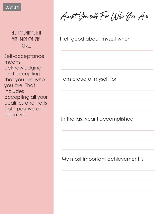

SELF-ACCEPTANCE IS A VITAL PART OF SELF- $Cf$ RE $.$ 

Self-acceptance means acknowledging and accepting that you are who you are. That includes accepting all your qualities and traits both positive and negative.

Accept Yourself For Who You Are

I felt good about myself when

I am proud of myself for

In the last year I accomplished

My most important achievement is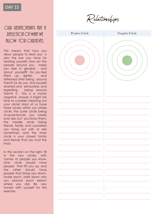#### OUR RELATIONSHIPS ARE A REFLECTION OF WHAT WE fillOW FOR OURSELVES.

This means that how you allow people to treat you is also the bar you have for treating yourself. How do the people around you make you feel in general, and about yourself? Do you feel lifted up, lighter, and refreshed after being around them? Or do you find yourself drained and exhausted, and regretting being around them? If this is a mostly negative answer, it might be time to consider cleaning out your circle! Most of us have three circles within our whole circle: the outer circle being acquaintances you hardly ever see, but you know them; the middle circle being friends, family, and coworkers you hang out with or see sometimes; and the inner circle is your closest family and friends that you trust the most.

In the section on the right, fill in the two circles with names of people you know. One circle should have people that lift you up, and the other should have people that bring you down. Under each, write down why you placed each person where you did. Be very honest with yourself for this exercise.

Relationships

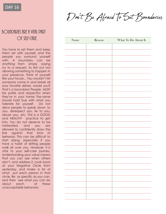Don't Be Afraid To Set Boundaries

#### BOUNDARIES ARE A VITAL PART Of SELF-CARE.

You have to set them and keep them set with yourself, and the people you surround yourself with. A boundary can be anything from simply saying no to a request, to flat out not allowing something to happen in your presence. Think of yourself like your house... You wouldn't let someone come in and break all your favorite dishes, would you? That's a boundary! People MUST be polite and respectful when they're in your home. The same should hold true with what you tolerate for yourself. Do not allow people to speak down to you, disrespect you, lie to you, abuse you, etc. This is a GOOD and HEALTHY practice to get into. You do not deserve to be mistreated, and you are allowed to confidently draw the line against that kind of behavior. This can be difficult to start doing, especially if you have a habit of letting people walk all over you. However, it is vital to your self-care journey. Understanding your value means that you can see when others don't, and address it. Look back at your Negative Circle from yesterday, and make a list of what put each person in that circle. Be as specific as you can, and then see what you can do about each of these unacceptable behaviors.

| Name | Reason | What To Do About It |
|------|--------|---------------------|
|      |        |                     |
|      |        |                     |
|      |        |                     |
|      |        |                     |
|      |        |                     |
|      |        |                     |
|      |        |                     |
|      |        |                     |
|      |        |                     |
|      |        |                     |
|      |        |                     |
|      |        |                     |
|      |        |                     |
|      |        |                     |
|      |        |                     |
|      |        |                     |
|      |        |                     |
|      |        |                     |
|      |        |                     |
|      |        |                     |
|      |        |                     |
|      |        |                     |
|      |        |                     |
|      |        |                     |
|      |        |                     |
|      |        |                     |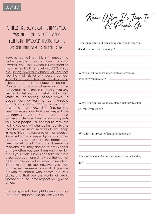#### Chances are, some of the things you wrote in the list you made YESTERDAY INVOLVED TALKING TO THE people that make you feel low.

However, sometimes, this isn't enough to make people change their behavior towards you. This is when it's important to know when it's time to let go. NOTE: If you are being physically abused, or feel that your life is at risk for any reason, contact your local authorities immediately, and relocate to a safe place if possible. Outside of physically abusive and other dangerous situations, it is usually relatively simple to let go of relationships that refuse to stop tearing people down. Of course, you may want to communicate with these negative people to give them a chance to change. This is fine, but you need to make sure that they respect the boundaries you set forth and communicate how their behavior impacts you. Most people will not realize they are hurting you and will change immediately as they become more mindful of that. Keep in mind this is the response of most people. Some will refuse to respect your boundaries or respect you. These are the people you need to let go of. This looks different for everyone. You may decide to slowly taper off how often you see them until they fall out of your circle. Or you can take the more direct approach and simply cut them off of all social media and in person interaction. It's entirely up to you. However, you must do it when necessary. Know that you are allowed to choose who comes into your circle, and that you are worthy of being treated with the same respect you give to others.

Use the space to the right to write out your steps to letting someone go from your life.

Know When Its time to

How many times will you talk to someone before you decide it's time for them to go?

What do you do or say when someone crosses a

boundary you have set?

What behaviors are so unacceptable that they result in

an immediate let go?

What is your process of letting someone go?

Are you hesitant to let anyone go, no matter what they

do?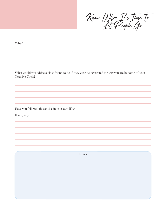Know When Its time to

| Why?             | <u> 1989 - Johann Stein, mars et al. 1989 - Anna ann an t-Anna ann an t-Anna ann an t-Anna ann an t-Anna ann an t-</u>                                                                                                          |
|------------------|---------------------------------------------------------------------------------------------------------------------------------------------------------------------------------------------------------------------------------|
|                  |                                                                                                                                                                                                                                 |
|                  |                                                                                                                                                                                                                                 |
|                  |                                                                                                                                                                                                                                 |
|                  |                                                                                                                                                                                                                                 |
| Negative Circle? | What would you advise a close friend to do if they were being treated the way you are by some of your<br><u> 1989 - Johann Stein, marwolaethau a bhann an t-Albann an t-Albann an t-Albann an t-Albann an t-Albann an t-Alb</u> |
|                  |                                                                                                                                                                                                                                 |
|                  |                                                                                                                                                                                                                                 |
|                  |                                                                                                                                                                                                                                 |
|                  |                                                                                                                                                                                                                                 |
|                  | Have you followed this advice in your own life?<br><u> 1989 - Johann Stein, mars an de Frankrik (f. 1989)</u>                                                                                                                   |
|                  |                                                                                                                                                                                                                                 |
|                  |                                                                                                                                                                                                                                 |
|                  |                                                                                                                                                                                                                                 |
|                  |                                                                                                                                                                                                                                 |
|                  |                                                                                                                                                                                                                                 |
|                  |                                                                                                                                                                                                                                 |
|                  |                                                                                                                                                                                                                                 |
|                  | <b>Notes</b>                                                                                                                                                                                                                    |
|                  |                                                                                                                                                                                                                                 |
|                  |                                                                                                                                                                                                                                 |
|                  |                                                                                                                                                                                                                                 |
|                  |                                                                                                                                                                                                                                 |
|                  |                                                                                                                                                                                                                                 |
|                  |                                                                                                                                                                                                                                 |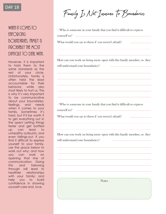#### WHEN IT COMES TO enforcing boundaries, family is probably the most  $D$ Ifficult to Deal with.

However, it is important to hold them to the same standards as the rest of your circle. Unfortunately, family is often held the least accountable for their behavior, while also most likely to hurt us. This is why it's very important to be communicative about your boundaries, feelings, and needs when it comes to your family. Sometimes it's hard, but it'll be worth it to get everything out in the open! Letting things fester and get bottled up can lead to unhealthy outbursts, and even fallings-out. If you find it difficult to express yourself to your family, use the space below to work out why; and how you can work on opening that line of communication. Doing this and following through will lead to healthier relationships with your family; and help you to build confidence in showing yourself-care and love.

Family Is Not Immune To Boundaries

•Who is someone in your family that you find it difficult to express yourself to?

What would you say to them if you weren't afraid?

How can you work on being more open with this family member, so they will understand your boundaries?

•Who is someone in your family that you find it difficult to express yourself to?

What would you say to them if you weren't afraid?

How can you work on being more open with this family member, so they will understand your boundaries?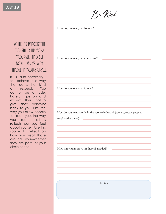

#### WHILE IT'S IMPORTANT TO STAND UP FOR YOURSELF fIND SET **BOUNDARIES WITH** THOSE IN YOUR CIRCLE.

it is also necessary to behave in a way that earns that kind of respect. You cannot be a rude, hateful person and expect others not to give that behavior back to you. Like the way you allow people to treat you, the way you treat others reflects how you feel about yourself. Use this space to reflect on how you treat those around you--whether they are part of your circle or not.

| How do you treat your friends?                                                            | $\mathcal{L}(\mathcal{L}(\mathcal{L}(\mathcal{L}(\mathcal{L}(\mathcal{L}(\mathcal{L}(\mathcal{L}(\mathcal{L}(\mathcal{L}(\mathcal{L}(\mathcal{L}(\mathcal{L}(\mathcal{L}(\mathcal{L}(\mathcal{L}(\mathcal{L}(\mathcal{L}(\mathcal{L}(\mathcal{L}(\mathcal{L}(\mathcal{L}(\mathcal{L}(\mathcal{L}(\mathcal{L}(\mathcal{L}(\mathcal{L}(\mathcal{L}(\mathcal{L}(\mathcal{L}(\mathcal{L}(\mathcal{L}(\mathcal{L}(\mathcal{L}(\mathcal{L}(\mathcal{L}(\mathcal{$ |
|-------------------------------------------------------------------------------------------|-------------------------------------------------------------------------------------------------------------------------------------------------------------------------------------------------------------------------------------------------------------------------------------------------------------------------------------------------------------------------------------------------------------------------------------------------------------|
|                                                                                           |                                                                                                                                                                                                                                                                                                                                                                                                                                                             |
|                                                                                           |                                                                                                                                                                                                                                                                                                                                                                                                                                                             |
|                                                                                           |                                                                                                                                                                                                                                                                                                                                                                                                                                                             |
| <u> 1989 - Johann Stoff, amerikansk politiker (d. 1989)</u>                               |                                                                                                                                                                                                                                                                                                                                                                                                                                                             |
| How do you treat your coworkers?                                                          |                                                                                                                                                                                                                                                                                                                                                                                                                                                             |
|                                                                                           |                                                                                                                                                                                                                                                                                                                                                                                                                                                             |
|                                                                                           |                                                                                                                                                                                                                                                                                                                                                                                                                                                             |
|                                                                                           |                                                                                                                                                                                                                                                                                                                                                                                                                                                             |
| the control of the control of the control of the control of the control of the control of |                                                                                                                                                                                                                                                                                                                                                                                                                                                             |
| How do you treat your family?                                                             |                                                                                                                                                                                                                                                                                                                                                                                                                                                             |
|                                                                                           |                                                                                                                                                                                                                                                                                                                                                                                                                                                             |
|                                                                                           |                                                                                                                                                                                                                                                                                                                                                                                                                                                             |
|                                                                                           |                                                                                                                                                                                                                                                                                                                                                                                                                                                             |
|                                                                                           |                                                                                                                                                                                                                                                                                                                                                                                                                                                             |

How do you treat people in the service industry? (servers, repair people,

retail workers, etc.)

How can you improve on these if needed?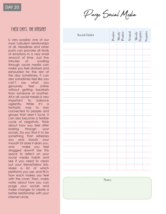DAY 20

Purge Social Media

#### THESE DAYS, THE INTERNET

is very possibly one of our most turbulent relationships of all . Headlines and other posts can provoke all kinds of emotions in a very small amount of time . Just five minutes of scrolling through social media can make you feel drained and exhausted for the rest of the day sometimes . It can also sometimes feel like you can't say what you genuinely feel online without getting backlash from someone or another . All in all, social media is very important to balance vigilantly. While it's a fantastic way to stay connected to people and groups that aren't local, it can also become a terrible cycle of negativity . Think about how you feel after looking through your socials . Do you find it to be something that refreshes you and boosts your mood? Or does it drain you, and make you feel dragged down? Use this space to reflect on your social media habits and see if you need to clean out your friend/follow lists . Make a list of which platforms you use, and fill in how each makes you feel with the chart . Then, make notes about how you can purge your socials and make changes to create a better relationship with your internet circle .

| Social Outlet | Positive<br>Mostly<br>Positive<br>Negative<br>Mostly<br>Megative<br>Negative |  |  |
|---------------|------------------------------------------------------------------------------|--|--|
|               |                                                                              |  |  |
|               |                                                                              |  |  |
|               |                                                                              |  |  |
|               |                                                                              |  |  |
|               |                                                                              |  |  |
|               |                                                                              |  |  |
|               |                                                                              |  |  |
|               |                                                                              |  |  |
|               |                                                                              |  |  |
|               |                                                                              |  |  |
|               |                                                                              |  |  |
|               |                                                                              |  |  |
|               |                                                                              |  |  |
|               |                                                                              |  |  |
|               |                                                                              |  |  |
|               |                                                                              |  |  |
|               |                                                                              |  |  |
|               |                                                                              |  |  |
|               |                                                                              |  |  |
|               |                                                                              |  |  |
|               |                                                                              |  |  |
| <b>Notes</b>  |                                                                              |  |  |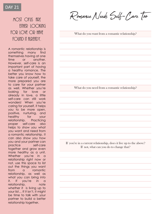#### MOST OFIIS fIRE FITHER IOOKING for love or that found it filready.

A romantic relationship is something many find themselves having at one time or another. However, self-care is an important part of having a healthy romance. The better you know how to take care of yourself, the more prepared you are to care for your partner as well. Whether you're looking for love or already in love, a little self-care can still work wonders! When you're caring for yourself, it helps you to be more open, positive, nurturing, and healthy for your relationship. Practicing proper self-care also helps to show you what you want and need from a romantic relationship. It can also show you how you and your partner can practice self-care together and grow even more healthy as a unit. Whether you're in a relationship right now or not, use this space to list out the things you want from a romantic relationship, as well as what you can bring into it. If you're in a relationship, note whether it is living up to your list… If it isn't, it might be time to talk with your partner to build a better relationship together.

Romance Needs Self-Care Too

What do you want from a romantic relationship?

What do you need from a romantic relationship?

If you're in a current relationship, does it live up to the above? If not, what can you do to change that?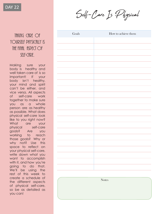DAY 22

Self-Care Is Physical

#### TAKING CARE OF yourself physically is THE FINAL ASPECT OF  $SFI-F-CHDF$

Making sure your body is healthy and well taken care of is so important! If your body isn't healthy, your mind and spirit can't be either, and vice versa. All aspects of self-care work together to make sure you as a whole person are as healthy as possible. What does physical self-care look like to you right now? What are your physical self-care goals? Are you working to reach those goals? Why or why not? Use this space to reflect on your physical self-care, write down what you want to accomplish with it, and how you're going to do that. We'll be using the rest of this week to create a schedule of the different aspects of physical self-care, so be as detailed as you can!

| $G$ oals | How to achieve them |
|----------|---------------------|
|          |                     |
|          |                     |
|          |                     |
|          |                     |
|          |                     |
|          |                     |
|          |                     |
|          |                     |
|          |                     |
|          |                     |
|          |                     |
|          |                     |
|          |                     |
|          |                     |
|          |                     |
|          |                     |
|          |                     |
|          |                     |
|          |                     |
|          |                     |
|          |                     |
|          | <b>Notes</b>        |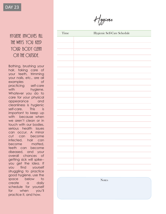### THE WAYS YOU KEEP YOUR BODY CLEAN on the outside.

Bathing, brushing your hair, taking care of your teeth, trimming your nails, etc . , are all examples of practicing self-care with hygiene. Whatever you do to care for your physical appearance and cleanliness is hygienic self -care . This is important to keep up with because when we aren't clean or in touch with our bodies, serious health issues can occur . A minor cut can become infected, hair can become matted, teeth can become diseased, and your overall chances of getting sick will spike- you get the idea . If you find yourself struggling to practice good hygiene, use the space below to create a daily schedule for yourself for when you'll practice it, and how .

# HYGIENE INVOLVES fILL Time Hygienic Self-Care Schedule **Notes**

Hygiene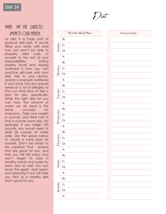#### WHAT WE EAT DIRECTLY IMPACTS OUR HEALTH.

Sunday

Monday

Tuesday

Wednesday

Thursday

Friday

**Saturday** 

B:

L:

D:

S:

B:

L:

D:

S:

B:

L:

D:

S:

B:

L:

D:

S:

B:

L:

D:

S:

B:

L:

D:

S:

B:

L:

D:

S:

so diet is a huge part of physical self -care . If you're filling your body with bad fuel, you won't be able to properly take care of yourself or the rest of your responsibilities . Eating healthy foods and staying hydrated is how you can practice self -care with your diet . Talk to your doctor, and/or a licensed nutritionist if your body has any special needs or a lot of allergies, to find out what kind of diet is best for you, specifically . While the right diet for you can vary, the amount of water we all need is the same concept for everyone... Take your weight in pounds, and drink half of that in ounces each day . For example, if you weigh 100 pounds, you would need to drink 50 ounces of water daily . Use the space below to create a meal plan for yourself . Don't be afraid to be creative! Find recipes that are good for you, and that you will still enjoy ; and don't forget to add in healthy snacks and water for each day as well . You can reuse this again and again, and planning it out will help you stick to a healthy diet that's good for you .



| Weekly Meal Plan | Grocery List                                                                                                                                      |
|------------------|---------------------------------------------------------------------------------------------------------------------------------------------------|
|                  |                                                                                                                                                   |
|                  |                                                                                                                                                   |
|                  | $\mathcal{L}$                                                                                                                                     |
|                  |                                                                                                                                                   |
|                  | Π                                                                                                                                                 |
|                  |                                                                                                                                                   |
|                  |                                                                                                                                                   |
|                  |                                                                                                                                                   |
|                  |                                                                                                                                                   |
|                  | Q                                                                                                                                                 |
|                  | B                                                                                                                                                 |
|                  | $\Box$                                                                                                                                            |
|                  | r.                                                                                                                                                |
|                  | T                                                                                                                                                 |
|                  |                                                                                                                                                   |
|                  |                                                                                                                                                   |
|                  | r.                                                                                                                                                |
|                  |                                                                                                                                                   |
|                  |                                                                                                                                                   |
|                  |                                                                                                                                                   |
|                  |                                                                                                                                                   |
|                  |                                                                                                                                                   |
|                  |                                                                                                                                                   |
|                  | $\begin{array}{c c c c c c c c} \hline \multicolumn{3}{c }{\bigcirc} & \multicolumn{3}{c }{\bigcirc} & \multicolumn{3}{c }{\bigcirc} \end{array}$ |
|                  |                                                                                                                                                   |
|                  |                                                                                                                                                   |
|                  | $\overline{\bigcap}$                                                                                                                              |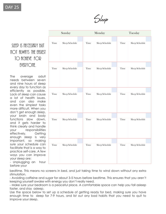Sleep

#### SLEEP IS NECESSARY BUT  $N$ OT filmats the easiest TO fictility for EVERYONE.

The average adult needs between seven and nine hours of sleep every day to function as efficiently as possible. Lack of sleep can cause a lot of health issues, and can also make even the simplest tasks more difficult. When you don't get enough sleep, your brain and body functions slow down, and it gets harder to think clearly and handle your responsibilities effectively. Getting enough sleep is very important, so making sure your schedule can facilitate that is a way to practice self-care. A few ways you can improve your sleep are:

- Unplugging an hour before your

|      | Sunday         |      | Monday         |  |      | Tuesday        |  |  |  |
|------|----------------|------|----------------|--|------|----------------|--|--|--|
|      |                |      |                |  |      |                |  |  |  |
| Time | Sleep Schedule | Time | Sleep Schedule |  | Time | Sleep Schedule |  |  |  |
|      |                |      |                |  |      |                |  |  |  |
| Time | Sleep Schedule | Time | Sleep Schedule |  | Time | Sleep Schedule |  |  |  |
|      |                |      |                |  |      |                |  |  |  |
| Time | Sleep Schedule | Time | Sleep Schedule |  | Time | Sleep Schedule |  |  |  |
|      |                |      |                |  |      |                |  |  |  |
| Time | Sleep Schedule | Time | Sleep Schedule |  | Time | Sleep Schedule |  |  |  |
|      |                |      |                |  |      |                |  |  |  |
| Time | Sleep Schedule | Time | Sleep Schedule |  | Time | Sleep Schedule |  |  |  |

bedtime. This means no screens in bed, and just taking time to wind down without any extra stimulation.

- Avoiding caffeine and sugar for about 3-5 hours before bedtime. This ensures that you aren't keeping yourself awake with energy you don't really need.

- Make sure your bedroom is a peaceful place. A comfortable space can help you fall asleep faster, and stay asleep.

Use the space below to set up a schedule of getting ready for bed, making sure you have enough time to sleep for 7-9 hours, and list out any bad habits that you need to quit to improve your sleep.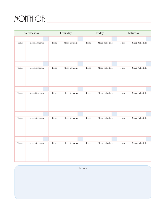# MONTH OF:

|      | Wednesday      |      | Thursday       |      | Friday         | Saturday   |                |
|------|----------------|------|----------------|------|----------------|------------|----------------|
|      |                |      |                |      |                |            |                |
| Time | Sleep Schedule | Time | Sleep Schedule | Time | Sleep Schedule | Time       | Sleep Schedule |
|      |                |      |                |      |                |            |                |
| Time | Sleep Schedule | Time | Sleep Schedule | Time | Sleep Schedule | Time       | Sleep Schedule |
|      |                |      |                |      |                |            |                |
| Time | Sleep Schedule | Time | Sleep Schedule | Time | Sleep Schedule | Time       | Sleep Schedule |
|      |                |      |                |      |                |            |                |
| Time | Sleep Schedule | Time | Sleep Schedule | Time | Sleep Schedule | Time       | Sleep Schedule |
|      |                |      |                |      |                |            |                |
| Time | Sleep Schedule | Time | Sleep Schedule | Time | Sleep Schedule | $\rm Time$ | Sleep Schedule |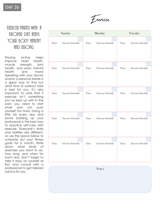Exercise

#### EXERCISE PAIRED WITH A proper diet keeps YOUR BODY HEALTHY AND STRONG.

Staying active helps improve heart health, muscle strength, joint health, and even mental health and more! Speaking with your doctor and/or a personal trainer is a great way to find out what kind of workout style is best for you. It's also important to note that if exercise isn't something you've kept up with in the past, you need to start small and not push yourself too hard. Doing a little bit every day and slowly building up your endurance is the best way to practice self-care with exercise. Everyone's limits and abilities are different, so use the space below to schedule out your fitness goals for a month. Write down what kinds of exercises you want to do, how long, and when for each day. Don't forget to take it easy on yourself at first, and consult with a professional to get tailored advice for you.

|      | Sunday                   |      | Monday                   |      | Tuesday                  |  |  |  |
|------|--------------------------|------|--------------------------|------|--------------------------|--|--|--|
| Time | <b>Exercise Schedule</b> | Time | <b>Exercise Schedule</b> | Time | <b>Exercise Schedule</b> |  |  |  |
| Time | <b>Exercise Schedule</b> | Time | <b>Exercise Schedule</b> | Time | <b>Exercise Schedule</b> |  |  |  |
|      |                          |      |                          |      |                          |  |  |  |
| Time | <b>Exercise Schedule</b> | Time | <b>Exercise Schedule</b> | Time | <b>Exercise Schedule</b> |  |  |  |
| Time | <b>Exercise Schedule</b> | Time | <b>Exercise Schedule</b> | Time | <b>Exercise Schedule</b> |  |  |  |
| Time | <b>Exercise Schedule</b> | Time | <b>Exercise Schedule</b> | Time | <b>Exercise Schedule</b> |  |  |  |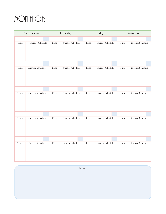# MONTH OF:

|      | Wednesday                |      | Thursday                 |      | Friday                   | Saturday |                          |
|------|--------------------------|------|--------------------------|------|--------------------------|----------|--------------------------|
|      | <b>Exercise Schedule</b> | Time | <b>Exercise Schedule</b> | Time | <b>Exercise Schedule</b> |          | <b>Exercise Schedule</b> |
| Time |                          |      |                          |      |                          | Time     |                          |
| Time | <b>Exercise Schedule</b> | Time | <b>Exercise Schedule</b> | Time | <b>Exercise Schedule</b> | Time     | <b>Exercise Schedule</b> |
|      |                          |      |                          |      |                          |          |                          |
| Time | <b>Exercise Schedule</b> | Time | <b>Exercise Schedule</b> | Time | <b>Exercise Schedule</b> | Time     | <b>Exercise Schedule</b> |
|      |                          |      |                          |      |                          |          |                          |
|      |                          |      |                          |      |                          |          |                          |
| Time | <b>Exercise Schedule</b> | Time | <b>Exercise Schedule</b> | Time | <b>Exercise Schedule</b> | Time     | <b>Exercise Schedule</b> |
| Time | <b>Exercise Schedule</b> | Time | <b>Exercise Schedule</b> | Time | <b>Exercise Schedule</b> | Time     | <b>Exercise Schedule</b> |
|      |                          |      |                          |      |                          |          |                          |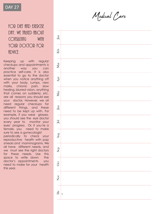#### FOR DIET AND EXERCISE DAY, WE TALKED ABOUT consulting with YOUR DOCTOR FOR fid VICF

Keeping up with regular checkups and appointments is another way you can practice self -care . It is also essential to go to the doctor when you notice anything off with your body . Lumps, new marks, chronic pain, sl o w healin g , blu r red vision, anything that comes on suddenly, etc . are all reasons you shoul d se e your doctor . However, we all need regular checkups for different things, and these need to be kept up with . For example, if you wear glasses, you should see the eye doctor every year to monitor your eyes' progress. Or, if you're a female, you need to make sure to see a gynecologis t periodically to check your reproductive health with pap smears and mammograms . We all have different needs, and we must see the right doctors for these needs . Use this space to write down the doctor's appointments you need to make for your health this year .

Medical Care

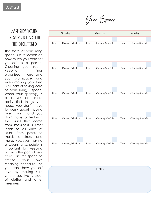Your Space

#### MAKE SURE YOUR **HOME/SPACE IS CLEAN** and decluttered

The state of your living space is a reflection on how much you care for yourself as a person. Cleaning your room, keeping things organized, arranging your workspace, and even making your bed is all part of taking care of your living space. When your space(s) is clear, you can more easily find things you need, you don't have to worry about tripping over things, and you don't have to deal with the issues that come from messiness. Clutter leads to all kinds of issues from pests, to mold, to stress, and more. However, having a cleaning schedule is important for keeping up with this part of selfcare. Use this space to create your own cleaning schedule, so you can show yourself love by making sure where you live is clear of clutter and other messiness.

|      | Sunday                   |      | Monday                   |      | Tuesday                  |  |  |  |
|------|--------------------------|------|--------------------------|------|--------------------------|--|--|--|
|      |                          |      |                          |      |                          |  |  |  |
| Time | Cleaning Schedule        | Time | <b>Cleaning Schedule</b> | Time | <b>Cleaning Schedule</b> |  |  |  |
|      |                          |      |                          |      |                          |  |  |  |
| Time | <b>Cleaning Schedule</b> | Time | <b>Cleaning Schedule</b> | Time | <b>Cleaning Schedule</b> |  |  |  |
|      |                          |      |                          |      |                          |  |  |  |
| Time | <b>Cleaning Schedule</b> | Time | <b>Cleaning Schedule</b> | Time | <b>Cleaning Schedule</b> |  |  |  |
|      |                          |      |                          |      |                          |  |  |  |
| Time | Cleaning Schedule        | Time | Cleaning Schedule        | Time | Cleaning Schedule        |  |  |  |
|      |                          |      |                          |      |                          |  |  |  |
| Time | Cleaning Schedule        | Time | Cleaning Schedule        | Time | Cleaning Schedule        |  |  |  |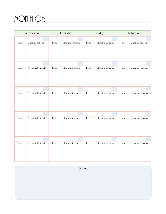# MONTH OF:

|      | Wednesday                | Thursday |                   |      | Friday            |      | Saturday          |
|------|--------------------------|----------|-------------------|------|-------------------|------|-------------------|
| Time | Cleaning Schedule        | Time     | Cleaning Schedule | Time | Cleaning Schedule | Time | Cleaning Schedule |
|      |                          |          |                   |      |                   |      |                   |
| Time | Cleaning Schedule        | Time     | Cleaning Schedule | Time | Cleaning Schedule | Time | Cleaning Schedule |
|      |                          |          |                   |      |                   |      |                   |
| Time | Cleaning Schedule        | Time     | Cleaning Schedule | Time | Cleaning Schedule | Time | Cleaning Schedule |
|      |                          |          |                   |      |                   |      |                   |
| Time | <b>Cleaning Schedule</b> | Time     | Cleaning Schedule | Time | Cleaning Schedule | Time | Cleaning Schedule |
|      |                          |          |                   |      |                   |      |                   |
|      |                          |          |                   |      |                   |      |                   |
| Time | <b>Cleaning Schedule</b> | Time     | Cleaning Schedule | Time | Cleaning Schedule | Time | Cleaning Schedule |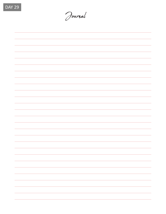

Journal